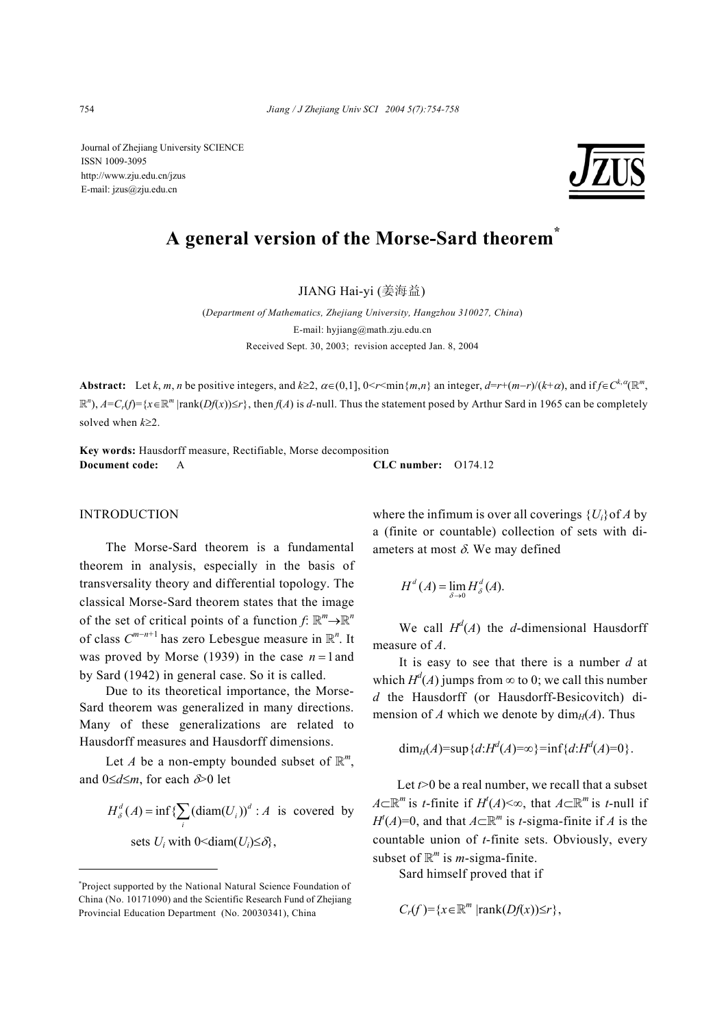Journal of Zhejiang University SCIENCE ISSN 1009-3095 http://www.zju.edu.cn/jzus E-mail: jzus@zju.edu.cn



# **A general version of the Morse-Sard theorem\***

JIANG Hai-yi (姜海益)

(*Department of Mathematics, Zhejiang University, Hangzhou 310027, China*) E-mail: hyjiang@math.zju.edu.cn Received Sept. 30, 2003; revision accepted Jan. 8, 2004

**Abstract:** Let k, m, n be positive integers, and  $k \ge 2$ ,  $\alpha \in (0,1]$ ,  $0 \le r \le \min\{m,n\}$  an integer,  $d=r+(m-r)/(k+\alpha)$ , and if  $f \in C^{k,\alpha}(\mathbb{R}^m)$ ,  $\mathbb{R}^n$ ,  $A=C_r(f)=\{x\in\mathbb{R}^m \mid \text{rank}(Df(x))\leq r\}$ , then  $f(A)$  is d-null. Thus the statement posed by Arthur Sard in 1965 can be completely solved when *k*≥2.

**Key words:** Hausdorff measure, Rectifiable, Morse decomposition **Document code:** A **CLC number:** O174.12

### **INTRODUCTION**

The Morse-Sard theorem is a fundamental theorem in analysis, especially in the basis of transversality theory and differential topology. The classical Morse-Sard theorem states that the image of the set of critical points of a function  $f: \mathbb{R}^m \rightarrow \mathbb{R}^n$ of class *C<sup>m</sup>*−*n*+1 has zero Lebesgue measure in R*<sup>n</sup>* . It was proved by Morse (1939) in the case  $n = 1$  and by Sard (1942) in general case. So it is called.

Due to its theoretical importance, the Morse-Sard theorem was generalized in many directions. Many of these generalizations are related to Hausdorff measures and Hausdorff dimensions.

Let *A* be a non-empty bounded subset of  $\mathbb{R}^m$ , and 0≤*d*≤*m*, for each δ>0 let

$$
H_{\delta}^{d}(A) = \inf \{ \sum_{i} (\text{diam}(U_{i}))^{d} : A \text{ is covered by}
$$
  
sets  $U_{i} \text{ with } 0 \le \text{diam}(U_{i}) \le \delta \}$ ,

where the infimum is over all coverings  ${U_i}$  of *A* by a (finite or countable) collection of sets with diameters at most  $\delta$ . We may defined

$$
H^d(A) = \lim_{\delta \to 0} H^d_{\delta}(A).
$$

We call  $H^d(A)$  the *d*-dimensional Hausdorff measure of *A*.

It is easy to see that there is a number *d* at which  $H^d(A)$  jumps from  $\infty$  to 0; we call this number *d* the Hausdorff (or Hausdorff-Besicovitch) dimension of *A* which we denote by  $\dim_H(A)$ . Thus

$$
\dim_H(A) = \sup \{d : H^d(A) = \infty\} = \inf \{d : H^d(A) = 0\}.
$$

Let *t*>0 be a real number, we recall that a subset *A*⊂ $\mathbb{R}^m$  is *t*-finite if *H*<sup>*t*</sup>(*A*) <∞, that *A*⊂ $\mathbb{R}^m$  is *t*-null if *H*<sup>*t*</sup>(*A*)=0, and that *A*⊂ $\mathbb{R}^m$  is *t*-sigma-finite if *A* is the countable union of *t*-finite sets. Obviously, every subset of  $\mathbb{R}^m$  is *m*-sigma-finite.

Sard himself proved that if

$$
C_r(f)=\{x\in\mathbb{R}^m\;|\text{rank}(Df(x))\leq r\},\;
$$

<sup>\*</sup> Project supported by the National Natural Science Foundation of China (No. 10171090) and the Scientific Research Fund of Zhejiang Provincial Education Department (No. 20030341), China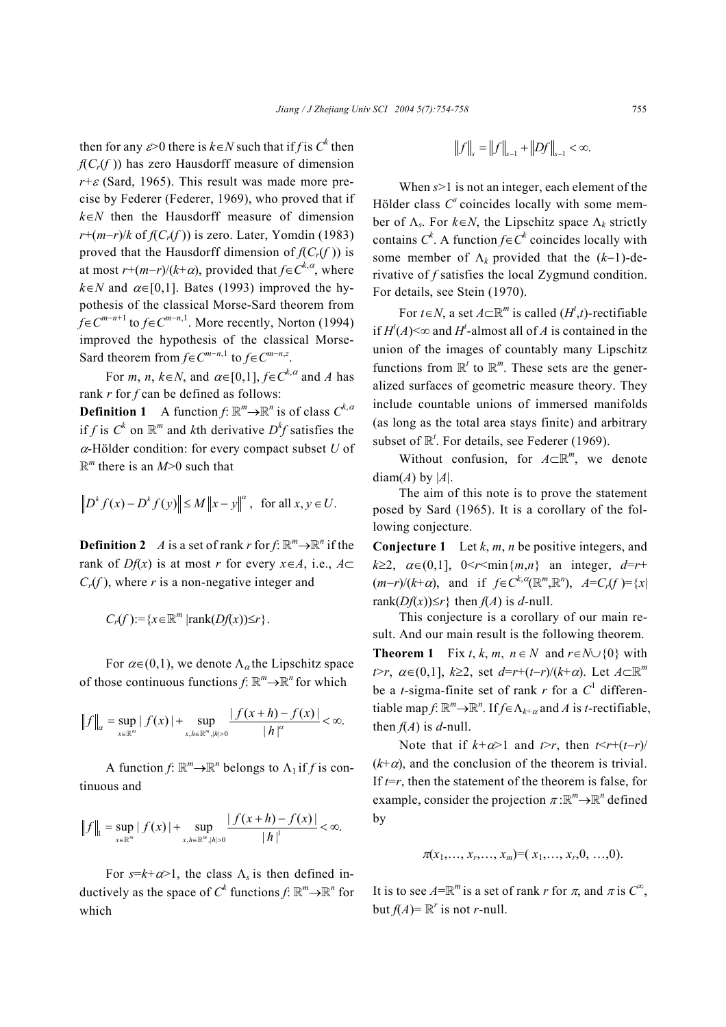then for any  $\varepsilon > 0$  there is  $k \in N$  such that if *f* is  $C^k$  then  $f(C_r(f))$  has zero Hausdorff measure of dimension  $r + \varepsilon$  (Sard, 1965). This result was made more precise by Federer (Federer, 1969), who proved that if *k*∈*N* then the Hausdorff measure of dimension  $r+(m-r)/k$  of  $f(C_r(f))$  is zero. Later, Yomdin (1983) proved that the Hausdorff dimension of  $f(C_r(f))$  is at most  $r+(m-r)/(k+\alpha)$ , provided that  $f \in C^{k,\alpha}$ , where  $k \in N$  and  $\alpha \in [0,1]$ . Bates (1993) improved the hypothesis of the classical Morse-Sard theorem from *f*∈*C*<sup>*m*−*n*+1</sup> to *f*∈*C*<sup>*m*−*n*,1</sup>. More recently, Norton (1994) improved the hypothesis of the classical Morse-Sard theorem from  $f \in C^{m-n,1}$  to  $f \in C^{m-n,z}$ .

For *m*, *n*,  $k \in N$ , and  $\alpha \in [0,1]$ ,  $f \in C^{k,\alpha}$  and *A* has rank *r* for *f* can be defined as follows:

**Definition 1** A function  $f: \mathbb{R}^m \rightarrow \mathbb{R}^n$  is of class  $C^{k,\alpha}$ if *f* is  $C^k$  on  $\mathbb{R}^m$  and *k*th derivative  $D^k f$  satisfies the <sup>α</sup>-Hölder condition: for every compact subset *U* of R*<sup>m</sup>* there is an *M*>0 such that

$$
\left\| D^k f(x) - D^k f(y) \right\| \le M \left\| x - y \right\|^{\alpha}, \text{ for all } x, y \in U.
$$

**Definition 2** *A* is a set of rank *r* for  $f: \mathbb{R}^m \to \mathbb{R}^n$  if the rank of *Df*(*x*) is at most *r* for every  $x \in A$ , i.e.,  $A \subset$  $C_r(f)$ , where *r* is a non-negative integer and

$$
C_r(f):=\{x\in\mathbb{R}^m\,|\text{rank}(Df(x))\leq r\}.
$$

For  $\alpha \in (0,1)$ , we denote  $\Lambda_{\alpha}$  the Lipschitz space of those continuous functions  $f: \mathbb{R}^m \rightarrow \mathbb{R}^n$  for which

$$
||f||_{\alpha} = \sup_{x \in \mathbb{R}^m} |f(x)| + \sup_{x, h \in \mathbb{R}^m, |h| > 0} \frac{|f(x+h) - f(x)|}{|h|^{\alpha}} < \infty.
$$

A function  $f: \mathbb{R}^m \to \mathbb{R}^n$  belongs to  $\Lambda_1$  if  $f$  is continuous and

$$
||f||_1 = \sup_{x \in \mathbb{R}^m} |f(x)| + \sup_{x,h \in \mathbb{R}^m, |h| > 0} \frac{|f(x+h) - f(x)|}{|h|^1} < \infty.
$$

For  $s=k+\alpha>1$ , the class  $\Lambda_s$  is then defined inductively as the space of  $C^k$  functions  $f: \mathbb{R}^m \rightarrow \mathbb{R}^n$  for which

$$
||f||_{s} = ||f||_{s-1} + ||Df||_{s-1} < \infty.
$$

When *s*>1 is not an integer, each element of the Hölder class  $C^s$  coincides locally with some member of  $\Lambda_s$ . For  $k \in N$ , the Lipschitz space  $\Lambda_k$  strictly contains  $C^k$ . A function  $f \in C^k$  coincides locally with some member of  $\Lambda_k$  provided that the  $(k-1)$ -derivative of *f* satisfies the local Zygmund condition. For details, see Stein (1970).

For  $t \in N$ , a set  $A \subset \mathbb{R}^m$  is called  $(H^t,t)$ -rectifiable if  $H^t(A) \leq \infty$  and  $H^t$ -almost all of *A* is contained in the union of the images of countably many Lipschitz functions from  $\mathbb{R}^t$  to  $\mathbb{R}^m$ . These sets are the generalized surfaces of geometric measure theory. They include countable unions of immersed manifolds (as long as the total area stays finite) and arbitrary subset of  $\mathbb{R}^t$ . For details, see Federer (1969).

Without confusion, for *A*⊂R*<sup>m</sup>*, we denote  $diam(A)$  by |A|.

The aim of this note is to prove the statement posed by Sard (1965). It is a corollary of the following conjecture.

**Conjecture 1** Let *k*, *m*, *n* be positive integers, and  $k \geq 2$ ,  $\alpha \in (0,1]$ ,  $0 \leq r \leq \min\{m,n\}$  an integer,  $d=r+$  $(m-r)/(k+\alpha)$ , and if  $f \in C^{k,\alpha}(\mathbb{R}^m, \mathbb{R}^n)$ ,  $A=C_r(f)=\{x \mid$ rank $(Df(x)) \leq r$ } then  $f(A)$  is *d*-null.

This conjecture is a corollary of our main result. And our main result is the following theorem. **Theorem 1** Fix *t*, *k*, *m*,  $n \in N$  and  $r \in N \cup \{0\}$  with *t*>*r*, <sup>α</sup>∈(0,1], *k*≥2, set *d*=*r*+(*t*−*r*)/(*k*+α). Let *A*⊂R*<sup>m</sup>* be a *t*-sigma-finite set of rank *r* for a  $C<sup>1</sup>$  differentiable map  $f: \mathbb{R}^m \to \mathbb{R}^n$ . If  $f \in \Lambda_{k+\alpha}$  and  $A$  is *t*-rectifiable, then  $f(A)$  is d-null.

Note that if  $k + \alpha > 1$  and  $t > r$ , then  $t \le r + (t - r)$  $(k+\alpha)$ , and the conclusion of the theorem is trivial. If  $t=r$ , then the statement of the theorem is false, for example, consider the projection  $\pi : \mathbb{R}^m \to \mathbb{R}^n$  defined by

$$
\pi(x_1,...,x_r,...,x_m)=(x_1,...,x_r,0,...,0).
$$

It is to see  $A = \mathbb{R}^m$  is a set of rank *r* for  $\pi$ , and  $\pi$  is  $C^{\infty}$ , but  $f(A) = \mathbb{R}^r$  is not *r*-null.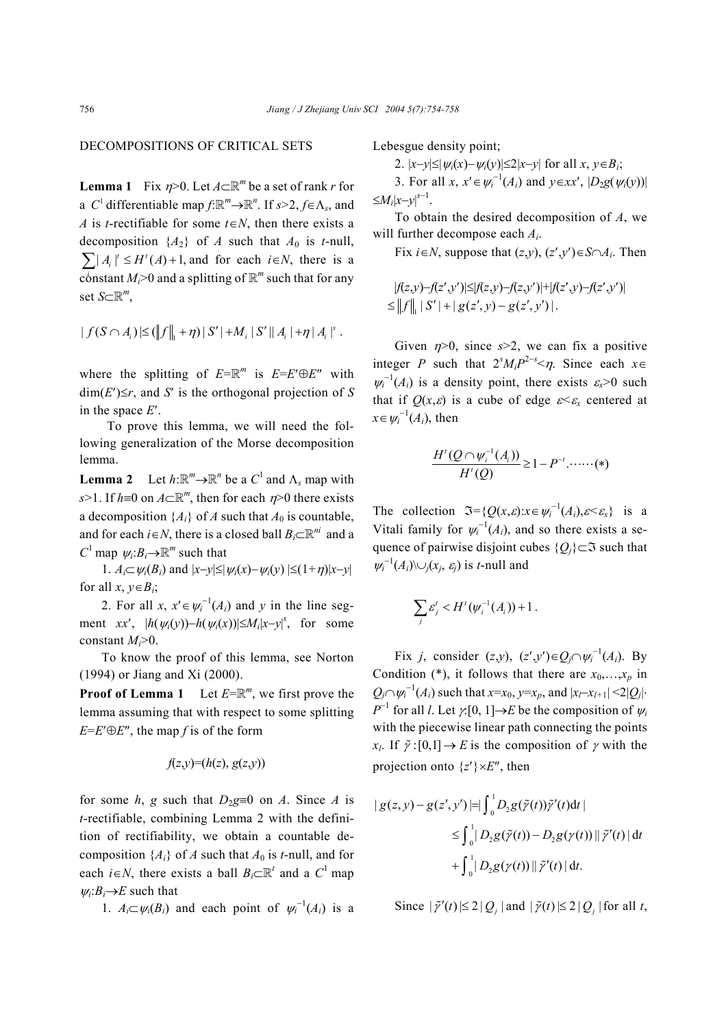## DECOMPOSITIONS OF CRITICAL SETS

**Lemma 1** Fix  $\eta$ >0. Let  $A \subset \mathbb{R}^m$  be a set of rank *r* for a *C*<sup>1</sup> differentiable map  $f:\mathbb{R}^m \to \mathbb{R}^n$ . If  $s > 2$ ,  $f \in \Lambda_s$ , and *A* is *t*-rectifiable for some *t*∈*N*, then there exists a decomposition  $\{A_2\}$  of *A* such that  $A_0$  is *t*-null,  $\sum |A_i|^t \le H^t(A) + 1$ , and for each  $i \in N$ , there is a constant  $M_i$ >0 and a splitting of  $\mathbb{R}^m$  such that for any set *S*⊂R*<sup>m</sup>*,

$$
|f(S \cap A_i) \leq (||f||_1 + \eta) |S'| + M_i |S'| |A_i| + \eta |A_i|^{s}.
$$

where the splitting of  $E=\mathbb{R}^m$  is  $E=E'\oplus E''$  with  $dim(E') \leq r$ , and *S'* is the orthogonal projection of *S* in the space *E*′.

 To prove this lemma, we will need the following generalization of the Morse decomposition lemma.

**Lemma 2** Let  $h: \mathbb{R}^m \to \mathbb{R}^n$  be a  $C^1$  and  $\Lambda_s$  map with *s*>1. If *h*≡0 on *A*⊂R*<sup>m</sup>*, then for each η>0 there exists a decomposition  $\{A_i\}$  of *A* such that  $A_0$  is countable, and for each *i*∈*N*, there is a closed ball  $B_i \subset \mathbb{R}^{ni}$  and a *C*<sup>1</sup> map  $\psi_i$ : $B_i \rightarrow \mathbb{R}^m$  such that

1.  $A_i \subset \psi_i(B_i)$  and  $|x-y| \leq |\psi_i(x) - \psi_i(y)| \leq (1+\eta)|x-y|$ for all  $x, y \in B_i$ ;

2. For all *x*,  $x' \in \psi_i^{-1}(A_i)$  and *y* in the line segment *xx'*,  $|h(\psi_i(y)) - h(\psi_i(x))| \leq M_i |x - y|^s$ , for some constant *Mi*>0.

To know the proof of this lemma, see Norton (1994) or Jiang and Xi (2000).

**Proof of Lemma 1** Let  $E=\mathbb{R}^m$ , we first prove the lemma assuming that with respect to some splitting  $E=E'\oplus E''$ , the map *f* is of the form

$$
f(z,y)=(h(z), g(z,y))
$$

for some *h*, *g* such that  $D_2g \equiv 0$  on *A*. Since *A* is *t*-rectifiable, combining Lemma 2 with the definition of rectifiability, we obtain a countable decomposition  ${A_i}$  of *A* such that  $A_0$  is *t*-null, and for each *i*∈*N*, there exists a ball  $B_i \subset \mathbb{R}^t$  and a  $C^1$  map  $\psi_i$ :  $B_i \rightarrow E$  such that

1.  $A_i \subset \psi_i(B_i)$  and each point of  $\psi_i^{-1}(A_i)$  is a

Lebesgue density point;

2.  $|x-y| \leq |y_i(x)-y_i(y)| \leq 2|x-y|$  for all *x*, *y*∈*B<sub>i</sub>*;

3. For all  $x, x' \in \psi_i^{-1}(A_i)$  and  $y \in xx'$ ,  $|D_2g(\psi_i(y))|$  $\leq M_i |x-y|^{s-1}$ .

To obtain the desired decomposition of *A*, we will further decompose each *Ai*.

Fix *i*∈*N*, suppose that  $(z,y)$ ,  $(z',y')\in S\cap A_i$ . Then

$$
|f(z,y)-f(z',y')| \leq |f(z,y)-f(z,y')| + |f(z',y)-f(z',y')|
$$
  
\n
$$
\leq ||f||_1 |S'| + |g(z',y) - g(z',y')|.
$$

Given  $\eta$ >0, since  $s$ >2, we can fix a positive integer *P* such that  $2^{s}M_{i}P^{2-s} < \eta$ . Since each  $x \in$  $\psi_i^{-1}(A_i)$  is a density point, there exists  $\varepsilon_x > 0$  such that if  $Q(x, \varepsilon)$  is a cube of edge  $\varepsilon \leq \varepsilon_x$  centered at  $x \in \psi_i^{-1}(A_i)$ , then

$$
\frac{H^{t}(Q \cap \psi_{i}^{-1}(A_{i}))}{H^{t}(Q)} \geq 1 - P^{-t} \dots \dots \dots (*)
$$

The collection  $\mathfrak{I} = \{Q(x,\varepsilon): x \in \psi_i^{-1}(A_i), \varepsilon \leq \varepsilon_x\}$  is a Vitali family for  $\psi_i^{-1}(A_i)$ , and so there exists a sequence of pairwise disjoint cubes  ${Q_i} \subset \mathfrak{I}$  such that  $\psi_i^{-1}(A_i) \cup_j (x_j, \varepsilon_j)$  is *t*-null and

$$
\sum_j \varepsilon_j^t < H^t(\psi_i^{-1}(A_i))+1.
$$

Fix *j*, consider  $(z,y)$ ,  $(z',y') \in Q_j \cap \psi_i^{-1}(A_i)$ . By Condition (\*), it follows that there are  $x_0, \ldots, x_p$  in  $Q_j \cap \psi_i^{-1}(A_i)$  such that *x*=*x*<sub>0</sub>, *y*=*x<sub>p</sub>*, and  $|x_l$ −*x*<sub>*l*+1</sub>| <2|*Q<sub>j</sub>*|・ *P*<sup>−1</sup> for all *l*. Let  $\gamma$ :[0, 1]→*E* be the composition of  $\psi$ *i* with the piecewise linear path connecting the points *x<sub>l</sub>*. If  $\tilde{\gamma}$ :[0,1]  $\rightarrow$  *E* is the composition of  $\gamma$  with the projection onto  $\{z'\}\times E''$ , then

$$
| g(z, y) - g(z', y') | = \int_0^1 D_2 g(\tilde{\gamma}(t)) \tilde{\gamma}'(t) dt |
$$
  
\n
$$
\leq \int_0^1 |D_2 g(\tilde{\gamma}(t)) - D_2 g(\gamma(t))| |\tilde{\gamma}'(t)| dt
$$
  
\n
$$
+ \int_0^1 |D_2 g(\gamma(t))| |\tilde{\gamma}'(t)| dt.
$$

Since  $|\tilde{\gamma}'(t)| \leq 2 |Q_i|$  and  $|\tilde{\gamma}(t)| \leq 2 |Q_i|$  for all *t*,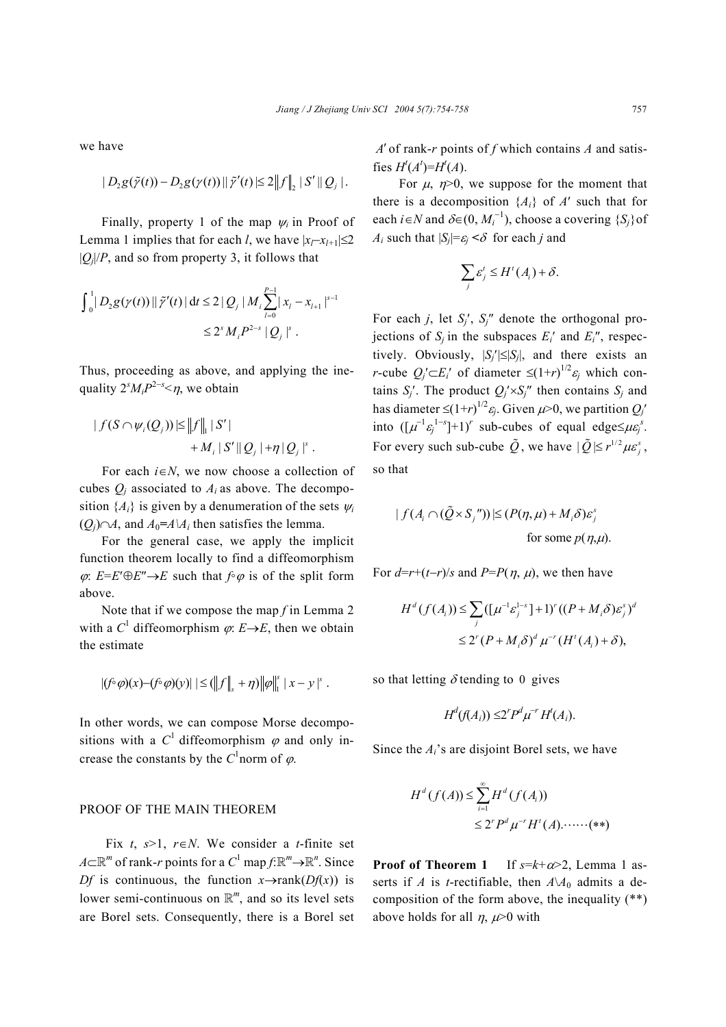we have

$$
|D_2 g(\tilde{\gamma}(t)) - D_2 g(\gamma(t))|| \tilde{\gamma}'(t) | \leq 2 ||f||_2 |S'||Q_j|.
$$

Finally, property 1 of the map <sup>ψ</sup>*i* in Proof of Lemma 1 implies that for each *l*, we have  $|x_l-x_{l+1}| \leq 2$  $|Q_i|/P$ , and so from property 3, it follows that

$$
\int_0^1 |D_2 g(\gamma(t))| \tilde{\gamma}'(t) | dt \le 2 |Q_j| M_i \sum_{l=0}^{p-1} |x_l - x_{l+1}|^{s-1}
$$
  

$$
\le 2^s M_i P^{2-s} |Q_j|^s.
$$

Thus, proceeding as above, and applying the inequality  $2^{s}M_{i}P^{2-s} < \eta$ , we obtain

$$
|f(S \cap \psi_i(Q_j))| \leq ||f||_1 |S'|
$$
  
+ 
$$
+ M_i |S'||Q_j| + \eta |Q_j|^{s}.
$$

For each *i*∈*N*, we now choose a collection of cubes  $Q_i$  associated to  $A_i$  as above. The decomposition  ${A_i}$  is given by a denumeration of the sets  $\psi_i$  $(O<sub>i</sub>) ∩ A$ , and  $A<sub>0</sub> = A\A<sub>i</sub>$  then satisfies the lemma.

For the general case, we apply the implicit function theorem locally to find a diffeomorphism  $\varphi$ : *E*=*E*′ $\oplus$ *E*″ $\rightarrow$ *E* such that  $f \circ \varphi$  is of the split form above.

Note that if we compose the map *f* in Lemma 2 with a  $C^1$  diffeomorphism  $\varphi$ :  $E \rightarrow E$ , then we obtain the estimate

$$
|(f\circ\varphi)(x)-(f\circ\varphi)(y)|\leq (||f||_{s}+\eta)||\varphi||_{1}^{s}|x-y|^{s}.
$$

In other words, we can compose Morse decompositions with a  $C^1$  diffeomorphism  $\varphi$  and only increase the constants by the  $C^1$  norm of  $\varphi$ .

### PROOF OF THE MAIN THEOREM

Fix  $t$ ,  $s>1$ ,  $r \in N$ . We consider a *t*-finite set *A*⊂ $\mathbb{R}^m$  of rank-*r* points for a  $C^1$  map  $f: \mathbb{R}^m \to \mathbb{R}^n$ . Since *Df* is continuous, the function  $x \rightarrow \text{rank}(Df(x))$  is lower semi-continuous on R*<sup>m</sup>*, and so its level sets are Borel sets. Consequently, there is a Borel set

*A*′ of rank-*r* points of *f* which contains *A* and satisfies  $H^t(A^t) = H^t(A)$ .

For  $\mu$ ,  $\eta$ >0, we suppose for the moment that there is a decomposition  ${A_i}$  of *A'* such that for each *i*∈*N* and  $\delta \in (0, M_i^{-1})$ , choose a covering {*S<sub>j</sub>*} of *A<sub>i</sub>* such that  $|S_i| = \varepsilon_i < \delta$  for each *j* and

$$
\sum_j \varepsilon_j^t \le H^t(A_i) + \delta.
$$

For each *j*, let *Sj*′, *Sj*″ denote the orthogonal projections of  $S_i$  in the subspaces  $E_i'$  and  $E_i''$ , respectively. Obviously,  $|S_i'| \leq |S_i|$ , and there exists an *r*-cube  $Q_j' \subset E_i'$  of diameter  $\leq (1+r)^{1/2} \varepsilon_j$  which contains  $S_i'$ . The product  $Q_i' \times S_i''$  then contains  $S_i$  and has diameter  $\leq (1+r)^{1/2} \varepsilon_j$ . Given  $\mu$ >0, we partition  $Q_j'$ into  $([\mu^{-1} \varepsilon_j^{1-s}] + 1)^r$  sub-cubes of equal edge  $\leq \mu \varepsilon_j^s$ . For every such sub-cube  $\tilde{Q}$ , we have  $|\tilde{Q}| \leq r^{1/2} \mu \varepsilon_i^s$ , so that

$$
| f(A_i \cap (\tilde{Q} \times S_j''))| \le (P(\eta, \mu) + M_i \delta) \varepsilon_j^s
$$
  
for some  $p(\eta, \mu)$ 

For  $d=r+(t-r)/s$  and  $P=P(\eta, \mu)$ , we then have

$$
H^d(f(A_i)) \le \sum_j \left( [\mu^{-1} \varepsilon_j^{1-s}] + 1 \right)^r \left( (P + M_i \delta) \varepsilon_j^s \right)^d
$$
  

$$
\le 2^r (P + M_i \delta)^d \mu^{-r} \left( H^t(A_i) + \delta \right),
$$

so that letting  $\delta$  tending to 0 gives

$$
H^d(f(A_i)) \leq 2^r P^d \mu^{-r} H^t(A_i).
$$

Since the *Ai*'s are disjoint Borel sets, we have

$$
H^{d}(f(A)) \leq \sum_{i=1}^{\infty} H^{d}(f(A_{i}))
$$
  

$$
\leq 2^{r} P^{d} \mu^{-r} H^{t}(A) \cdot \cdots \cdot (**)
$$

**Proof of Theorem 1** If  $s=k+\alpha>2$ , Lemma 1 asserts if *A* is *t*-rectifiable, then  $A\lambda A_0$  admits a decomposition of the form above, the inequality (\*\*) above holds for all  $\eta$ ,  $\mu$ >0 with